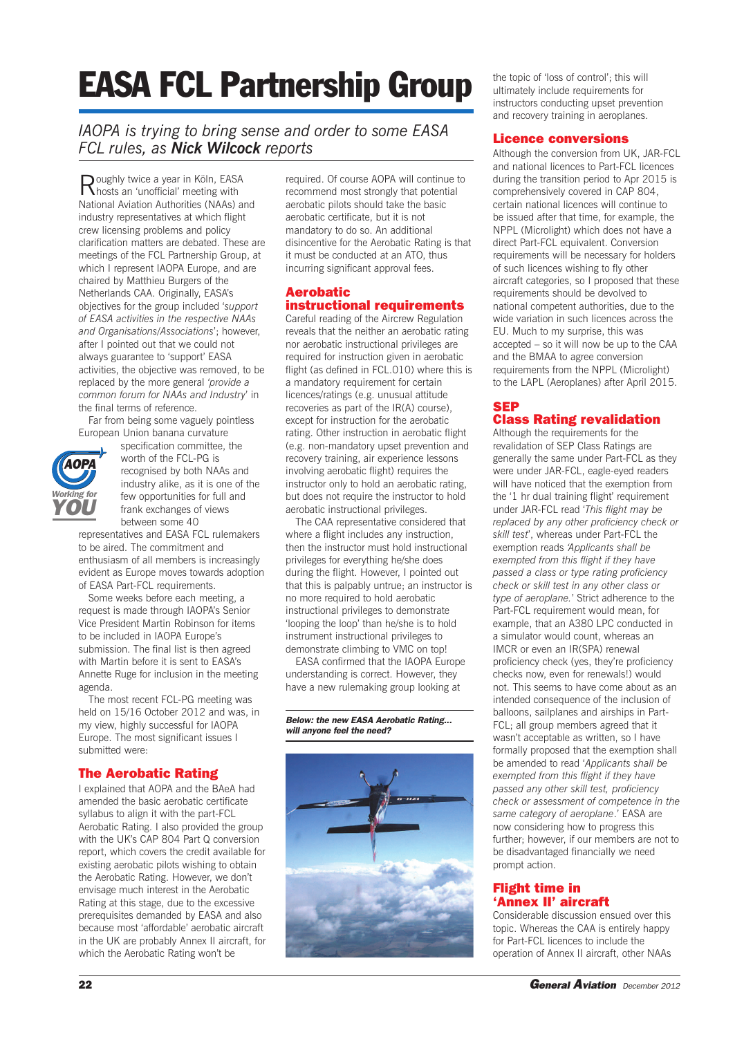# **EASA FCL Partnership Group**

# *IAOPA is trying to bring sense and order to some EASA FCL rules, as Nick Wilcock reports*

Roughly twice <sup>a</sup> year in Köln, EASA hosts an 'unofficial' meeting with National Aviation Authorities (NAAs) and industry representatives at which flight crew licensing problems and policy clarification matters are debated. These are meetings of the FCL Partnership Group, at which I represent IAOPA Europe, and are chaired by Matthieu Burgers of the Netherlands CAA. Originally, EASA's objectives for the group included '*support of EASA activities in the respective NAAs and Organisations/Associations*'; however, after I pointed out that we could not always guarantee to 'support' EASA activities, the objective was removed, to be replaced by the more general *'provide a common forum for NAAs and Industry*' in the final terms of reference.

Far from being some vaguely pointless European Union banana curvature



specification committee, the worth of the FCL-PG is recognised by both NAAs and industry alike, as it is one of the few opportunities for full and frank exchanges of views between some 40

representatives and EASA FCL rulemakers to be aired. The commitment and enthusiasm of all members is increasingly evident as Europe moves towards adoption of EASA Part-FCL requirements.

Some weeks before each meeting, a request is made through IAOPA's Senior Vice President Martin Robinson for items to be included in IAOPA Europe's submission. The final list is then agreed with Martin before it is sent to EASA's Annette Ruge for inclusion in the meeting agenda.

The most recent FCL-PG meeting was held on 15/16 October 2012 and was, in my view, highly successful for IAOPA Europe. The most significant issues I submitted were:

## **The Aerobatic Rating**

I explained that AOPA and the BAeA had amended the basic aerobatic certificate syllabus to align it with the part-FCL Aerobatic Rating. I also provided the group with the UK's CAP 804 Part Q conversion report, which covers the credit available for existing aerobatic pilots wishing to obtain the Aerobatic Rating. However, we don't envisage much interest in the Aerobatic Rating at this stage, due to the excessive prerequisites demanded by EASA and also because most 'affordable' aerobatic aircraft in the UK are probably Annex II aircraft, for which the Aerobatic Rating won't be

required. Of course AOPA will continue to recommend most strongly that potential aerobatic pilots should take the basic aerobatic certificate, but it is not mandatory to do so. An additional disincentive for the Aerobatic Rating is that it must be conducted at an ATO, thus incurring significant approval fees.

#### **Aerobatic instructional requirements**

Careful reading of the Aircrew Regulation reveals that the neither an aerobatic rating nor aerobatic instructional privileges are required for instruction given in aerobatic flight (as defined in FCL.010) where this is a mandatory requirement for certain licences/ratings (e.g. unusual attitude recoveries as part of the IR(A) course), except for instruction for the aerobatic rating. Other instruction in aerobatic flight (e.g. non-mandatory upset prevention and recovery training, air experience lessons involving aerobatic flight) requires the instructor only to hold an aerobatic rating, but does not require the instructor to hold aerobatic instructional privileges.

The CAA representative considered that where a flight includes any instruction, then the instructor must hold instructional privileges for everything he/she does during the flight. However, I pointed out that this is palpably untrue; an instructor is no more required to hold aerobatic instructional privileges to demonstrate 'looping the loop' than he/she is to hold instrument instructional privileges to demonstrate climbing to VMC on top!

EASA confirmed that the IAOPA Europe understanding is correct. However, they have a new rulemaking group looking at

*Below: the new EASA Aerobatic Rating... will anyone feel the need?*



the topic of 'loss of control'; this will ultimately include requirements for instructors conducting upset prevention and recovery training in aeroplanes.

### **Licence conversions**

Although the conversion from UK, JAR-FCL and national licences to Part-FCL licences during the transition period to Apr 2015 is comprehensively covered in CAP 804, certain national licences will continue to be issued after that time, for example, the NPPL (Microlight) which does not have a direct Part-FCL equivalent. Conversion requirements will be necessary for holders of such licences wishing to fly other aircraft categories, so I proposed that these requirements should be devolved to national competent authorities, due to the wide variation in such licences across the EU. Much to my surprise, this was accepted – so it will now be up to the CAA and the BMAA to agree conversion requirements from the NPPL (Microlight) to the LAPL (Aeroplanes) after April 2015.

#### **SEP Class Rating revalidation**

Although the requirements for the revalidation of SEP Class Ratings are generally the same under Part-FCL as they were under JAR-FCL, eagle-eyed readers will have noticed that the exemption from the '1 hr dual training flight' requirement under JAR-FCL read '*This flight may be replaced by any other proficiency check or skill test*', whereas under Part-FCL the exemption reads *'Applicants shall be exempted from this flight if they have passed a class or type rating proficiency check or skill test in any other class or type of aeroplane.*' Strict adherence to the Part-FCL requirement would mean, for example, that an A380 LPC conducted in a simulator would count, whereas an IMCR or even an IR(SPA) renewal proficiency check (yes, they're proficiency checks now, even for renewals!) would not. This seems to have come about as an intended consequence of the inclusion of balloons, sailplanes and airships in Part-FCL; all group members agreed that it wasn't acceptable as written, so I have formally proposed that the exemption shall be amended to read '*Applicants shall be exempted from this flight if they have passed any other skill test, proficiency check or assessment of competence in the same category of aeroplane*.' EASA are now considering how to progress this further; however, if our members are not to be disadvantaged financially we need prompt action.

#### **Flight time in 'Annex II' aircraft**

Considerable discussion ensued over this topic. Whereas the CAA is entirely happy for Part-FCL licences to include the operation of Annex II aircraft, other NAAs